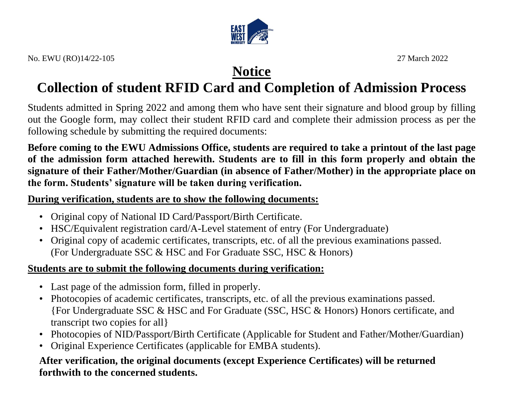

## **Notice**

# **Collection of student RFID Card and Completion of Admission Process**

Students admitted in Spring 2022 and among them who have sent their signature and blood group by filling out the Google form, may collect their student RFID card and complete their admission process as per the following schedule by submitting the required documents:

**Before coming to the EWU Admissions Office, students are required to take a printout of the last page of the admission form attached herewith. Students are to fill in this form properly and obtain the signature of their Father/Mother/Guardian (in absence of Father/Mother) in the appropriate place on the form. Students' signature will be taken during verification.**

#### **During verification, students are to show the following documents:**

- Original copy of National ID Card/Passport/Birth Certificate.
- HSC/Equivalent registration card/A-Level statement of entry (For Undergraduate)
- Original copy of academic certificates, transcripts, etc. of all the previous examinations passed. (For Undergraduate SSC & HSC and For Graduate SSC, HSC & Honors)

### **Students are to submit the following documents during verification:**

- Last page of the admission form, filled in properly.
- Photocopies of academic certificates, transcripts, etc. of all the previous examinations passed. {For Undergraduate SSC & HSC and For Graduate (SSC, HSC & Honors) Honors certificate, and transcript two copies for all}
- Photocopies of NID/Passport/Birth Certificate (Applicable for Student and Father/Mother/Guardian)
- Original Experience Certificates (applicable for EMBA students).

#### **After verification, the original documents (except Experience Certificates) will be returned forthwith to the concerned students.**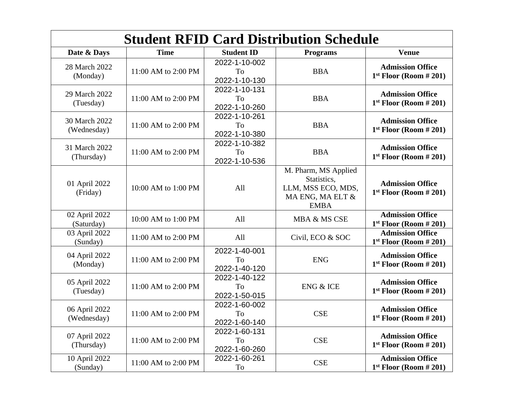| <b>Student RFID Card Distribution Schedule</b> |                     |                                      |                                                                                              |                                                     |  |  |
|------------------------------------------------|---------------------|--------------------------------------|----------------------------------------------------------------------------------------------|-----------------------------------------------------|--|--|
| Date & Days                                    | <b>Time</b>         | <b>Student ID</b>                    | <b>Programs</b>                                                                              | <b>Venue</b>                                        |  |  |
| 28 March 2022<br>(Monday)                      | 11:00 AM to 2:00 PM | 2022-1-10-002<br>To<br>2022-1-10-130 | <b>BBA</b>                                                                                   | <b>Admission Office</b><br>$1st$ Floor (Room # 201) |  |  |
| 29 March 2022<br>(Tuesday)                     | 11:00 AM to 2:00 PM | 2022-1-10-131<br>To<br>2022-1-10-260 | <b>BBA</b>                                                                                   | <b>Admission Office</b><br>$1st$ Floor (Room # 201) |  |  |
| 30 March 2022<br>(Wednesday)                   | 11:00 AM to 2:00 PM | 2022-1-10-261<br>To<br>2022-1-10-380 | <b>BBA</b>                                                                                   | <b>Admission Office</b><br>$1st$ Floor (Room # 201) |  |  |
| 31 March 2022<br>(Thursday)                    | 11:00 AM to 2:00 PM | 2022-1-10-382<br>To<br>2022-1-10-536 | <b>BBA</b>                                                                                   | <b>Admission Office</b><br>$1st$ Floor (Room # 201) |  |  |
| 01 April 2022<br>(Friday)                      | 10:00 AM to 1:00 PM | All                                  | M. Pharm, MS Applied<br>Statistics,<br>LLM, MSS ECO, MDS,<br>MA ENG, MA ELT &<br><b>EMBA</b> | <b>Admission Office</b><br>$1st$ Floor (Room # 201) |  |  |
| 02 April 2022<br>(Saturday)                    | 10:00 AM to 1:00 PM | All                                  | MBA & MS CSE                                                                                 | <b>Admission Office</b><br>$1st$ Floor (Room # 201) |  |  |
| 03 April 2022<br>(Sunday)                      | 11:00 AM to 2:00 PM | All                                  | Civil, ECO & SOC                                                                             | <b>Admission Office</b><br>$1st$ Floor (Room # 201) |  |  |
| 04 April 2022<br>(Monday)                      | 11:00 AM to 2:00 PM | 2022-1-40-001<br>To<br>2022-1-40-120 | <b>ENG</b>                                                                                   | <b>Admission Office</b><br>$1st$ Floor (Room # 201) |  |  |
| 05 April 2022<br>(Tuesday)                     | 11:00 AM to 2:00 PM | 2022-1-40-122<br>To<br>2022-1-50-015 | <b>ENG &amp; ICE</b>                                                                         | <b>Admission Office</b><br>$1st$ Floor (Room # 201) |  |  |
| 06 April 2022<br>(Wednesday)                   | 11:00 AM to 2:00 PM | 2022-1-60-002<br>To<br>2022-1-60-140 | <b>CSE</b>                                                                                   | <b>Admission Office</b><br>$1st$ Floor (Room # 201) |  |  |
| 07 April 2022<br>(Thursday)                    | 11:00 AM to 2:00 PM | 2022-1-60-131<br>To<br>2022-1-60-260 | CSE                                                                                          | <b>Admission Office</b><br>$1st$ Floor (Room # 201) |  |  |
| 10 April 2022<br>(Sunday)                      | 11:00 AM to 2:00 PM | 2022-1-60-261<br>To                  | CSE                                                                                          | <b>Admission Office</b><br>$1st$ Floor (Room # 201) |  |  |